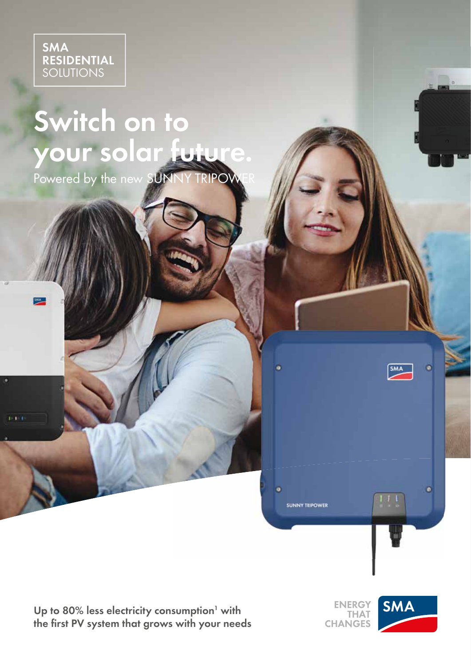

# **Switch on to your solar future.**

Powered by the new SUNNY TRIPOWER

Up to 80% less electricity consumption<sup>1</sup> with the first PV system that grows with your needs

**ENERGY THAT CHANGES** 

 $\overline{\bullet}$ 

**SUNNY TRIPOWER** 



 $\pm$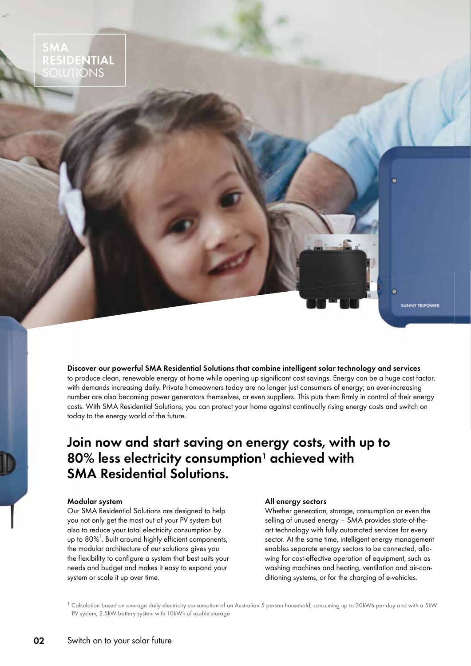

**Discover our powerful SMA Residential Solutions that combine intelligent solar technology and services** to produce clean, renewable energy at home while opening up significant cost savings. Energy can be a huge cost factor, with demands increasing daily. Private homeowners today are no longer just consumers of energy; an ever-increasing number are also becoming power generators themselves, or even suppliers. This puts them firmly in control of their energy costs. With SMA Residential Solutions, you can protect your home against continually rising energy costs and switch on today to the energy world of the future.

#### **Join now and start saving on energy costs, with up to 80% less electricity consumption1 achieved with SMA Residential Solutions.**

#### **Modular system**

Our SMA Residential Solutions are designed to help you not only get the most out of your PV system but also to reduce your total electricity consumption by up to  $80\%$ <sup>1</sup>. Built around highly efficient components, the modular architecture of our solutions gives you the flexibility to configure a system that best suits your needs and budget and makes it easy to expand your system or scale it up over time.

#### **All energy sectors**

Whether generation, storage, consumption or even the selling of unused energy – SMA provides state-of-theart technology with fully automated services for every sector. At the same time, intelligent energy management enables separate energy sectors to be connected, allowing for cost-effective operation of equipment, such as washing machines and heating, ventilation and air-conditioning systems, or for the charging of e-vehicles.

 $^1$  Calculation based on average daily electricity consumption of an Australian 5 person household, consuming up to 30kWh per day and with a 5kW PV system, 2.5kW battery system with 10kWh of usable storage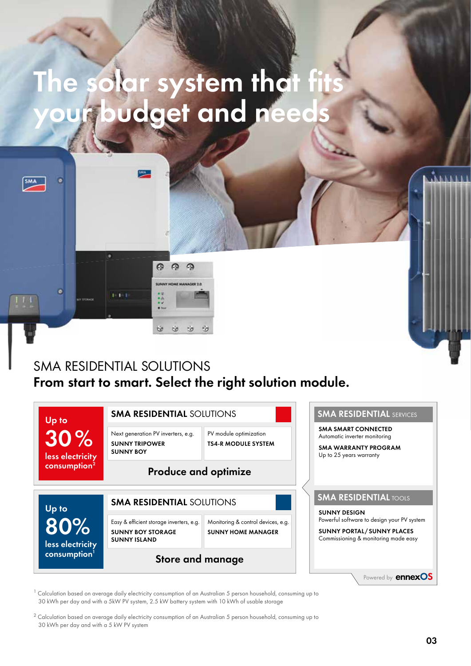## **The solar system that fits your budget and needs**



#### SMA RESIDENTIAL SOLUTIONS **From start to smart. Select the right solution module.**



 $1$  Calculation based on average daily electricity consumption of an Australian 5 person household, consuming up to 30 kWh per day and with a 5kW PV system, 2.5 kW battery system with 10 kWh of usable storage

<sup>2</sup> Calculation based on average daily electricity consumption of an Australian 5 person household, consuming up to 30 kWh per day and with a 5 kW PV system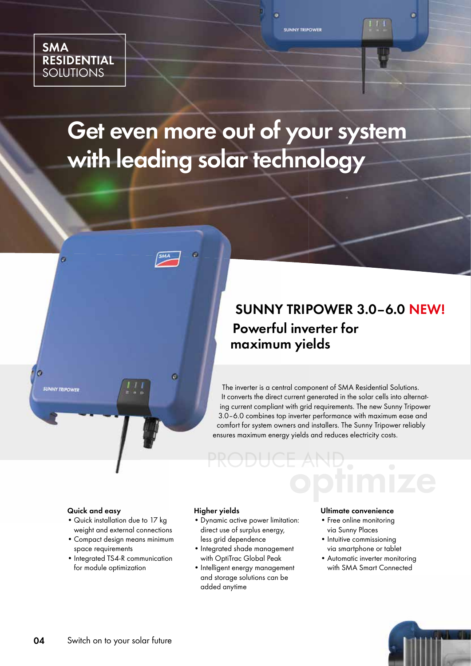

### **Get even more out of your system with leading solar technology**



The inverter is a central component of SMA Residential Solutions. It converts the direct current generated in the solar cells into alternating current compliant with grid requirements. The new Sunny Tripower 3.0–6.0 combines top inverter performance with maximum ease and comfort for system owners and installers. The Sunny Tripower reliably ensures maximum energy yields and reduces electricity costs.

PRODUCE AND.<br>Optimize

#### **Quick and easy**

**UNNY TRIPOWER** 

- Quick installation due to 17 kg weight and external connections
- Compact design means minimum space requirements
- Integrated TS4-R communication for module optimization

#### **Higher yields**

- Dynamic active power limitation: direct use of surplus energy,
- less grid dependence • Integrated shade management
- with OptiTrac Global Peak
- Intelligent energy management and storage solutions can be added anytime

#### **Ultimate convenience**

- Free online monitoring via Sunny Places
- Intuitive commissioning via smartphone or tablet
- Automatic inverter monitoring with SMA Smart Connected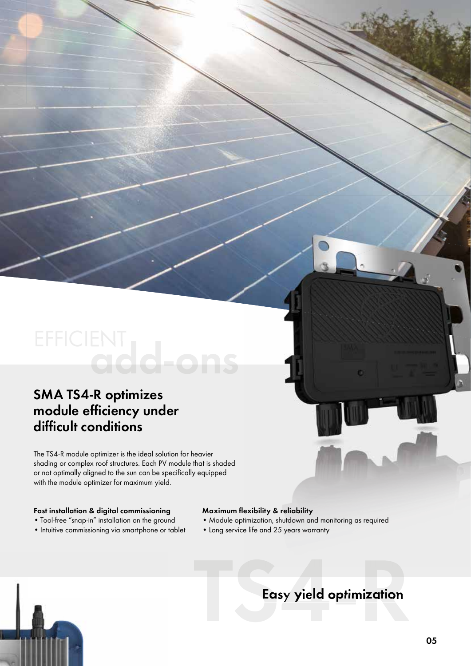# **TERRICLENT**<br> **TERRICLENT**<br> **THE TS4-R addle optimizer is the ideal solution for heavier**<br> **CHERRICUS CONSECTED AND CONSECT AND CONSECT AND CONSECT AND CONSECT AND CONSECT AND CONSECT AND CONSECT AND CONSECT AND CONSECT**

#### **SMA TS4-R optimizes**  module efficiency under difficult conditions

The TS4-R module optimizer is the ideal solution for heavier shading or complex roof structures. Each PV module that is shaded or not optimally aligned to the sun can be specifically equipped with the module optimizer for maximum yield.

#### **Fast installation & digital commissioning**

- Tool-free "snap-in" installation on the ground
- Intuitive commissioning via smartphone or tablet

#### **Maximum flexibility & reliability**

- Module optimization, shutdown and monitoring as required
- Long service life and 25 years warranty

#### **Easy yield optimization**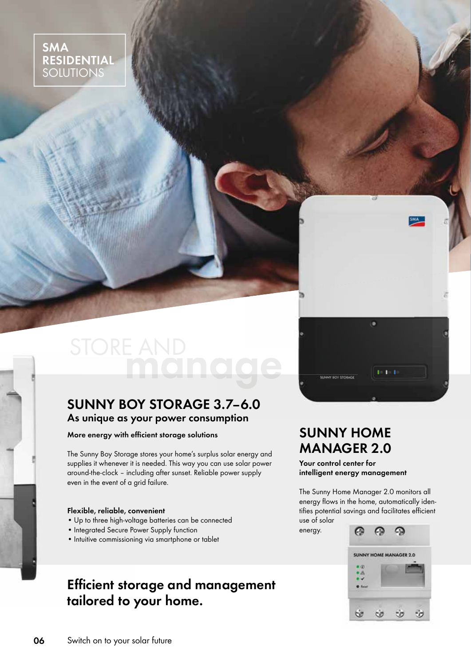**SMA RESIDENTIAL**  SOLUTIONS

# **manage**

#### **SUNNY BOY STORAGE 3.7–6.0 As unique as your power consumption**

**More energy with efficient storage solutions** 

The Sunny Boy Storage stores your home's surplus solar energy and supplies it whenever it is needed. This way you can use solar power around-the-clock – including after sunset. Reliable power supply even in the event of a grid failure.

#### **Flexible, reliable, convenient**

- Up to three high-voltage batteries can be connected
- Integrated Secure Power Supply function
- Intuitive commissioning via smartphone or tablet

#### **Effi cient storage and management tailored to your home.**

#### **SUNNY HOME MANAGER 2.0**

**SUNNY BOY STORAGE** 

**Your control center for intelligent energy management**

The Sunny Home Manager 2.0 monitors all energy flows in the home, automatically identifies potential savings and facilitates efficient use of solar

energy.

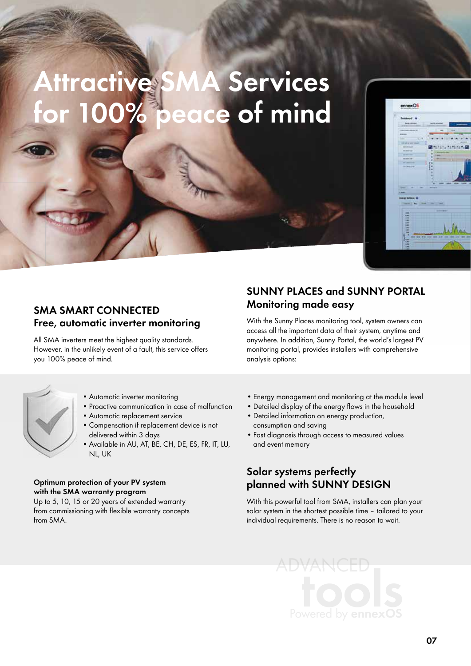# Attractive SMA Services<br>for 100% peace of mind **peace of mind**



#### **SMA SMART CONNECTED Free, automatic inverter monitoring**

All SMA inverters meet the highest quality standards. However, in the unlikely event of a fault, this service offers you 100% peace of mind.



• Automatic inverter monitoring

- Proactive communication in case of malfunction
- Automatic replacement service
- Compensation if replacement device is not delivered within 3 days
- Available in AU, AT, BE, CH, DE, ES, FR, IT, LU, NL, UK

#### **Optimum protection of your PV system with the SMA warranty program**

Up to 5, 10, 15 or 20 years of extended warranty from commissioning with flexible warranty concepts from SMA.

**SUNNY PLACES and SUNNY PORTAL Monitoring made easy**

With the Sunny Places monitoring tool, system owners can access all the important data of their system, anytime and anywhere. In addition, Sunny Portal, the world's largest PV monitoring portal, provides installers with comprehensive analysis options:

- Energy management and monitoring at the module level
- Detailed display of the energy flows in the household
- Detailed information on energy production, consumption and saving
- Fast diagnosis through access to measured values and event memory

#### **Solar systems perfectly planned with SUNNY DESIGN**

With this powerful tool from SMA, installers can plan your solar system in the shortest possible time – tailored to your individual requirements. There is no reason to wait.